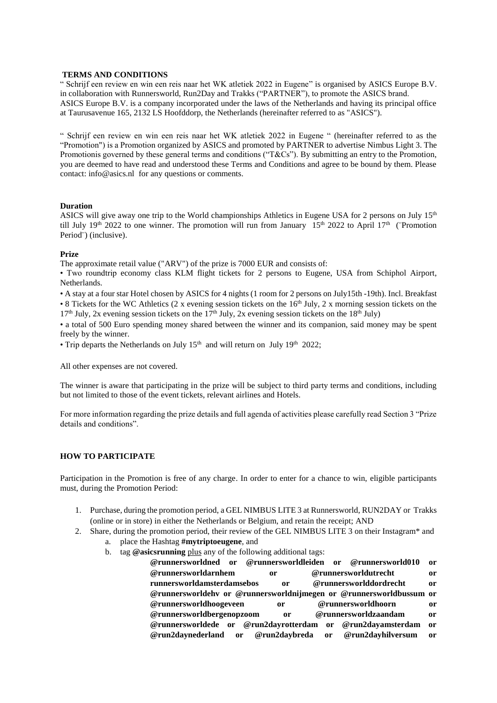# **TERMS AND CONDITIONS**

" Schrijf een review en win een reis naar het WK atletiek 2022 in Eugene" is organised by ASICS Europe B.V. in collaboration with Runnersworld, Run2Day and Trakks ("PARTNER"), to promote the ASICS brand. ASICS Europe B.V. is a company incorporated under the laws of the Netherlands and having its principal office at Taurusavenue 165, 2132 LS Hoofddorp, the Netherlands (hereinafter referred to as "ASICS").

" Schrijf een review en win een reis naar het WK atletiek 2022 in Eugene " (hereinafter referred to as the "Promotion") is a Promotion organized by ASICS and promoted by PARTNER to advertise Nimbus Light 3. The Promotionis governed by these general terms and conditions ("T&Cs"). By submitting an entry to the Promotion, you are deemed to have read and understood these Terms and Conditions and agree to be bound by them. Please contact: info@asics.nl for any questions or comments.

### **Duration**

ASICS will give away one trip to the World championships Athletics in Eugene USA for 2 persons on July  $15<sup>th</sup>$ till July 19<sup>th</sup> 2022 to one winner. The promotion will run from January 15<sup>th</sup> 2022 to April 17<sup>th</sup> (<sup>•</sup> Promotion Period¨) (inclusive).

### **Prize**

The approximate retail value ("ARV") of the prize is 7000 EUR and consists of:

• Two roundtrip economy class KLM flight tickets for 2 persons to Eugene, USA from Schiphol Airport, Netherlands.

• A stay at a four star Hotel chosen by ASICS for 4 nights (1 room for 2 persons on July15th -19th). Incl. Breakfast

• 8 Tickets for the WC Athletics (2 x evening session tickets on the  $16<sup>th</sup>$  July, 2 x morning session tickets on the  $17<sup>th</sup>$  July, 2x evening session tickets on the  $17<sup>th</sup>$  July, 2x evening session tickets on the  $18<sup>th</sup>$  July)

• a total of 500 Euro spending money shared between the winner and its companion, said money may be spent freely by the winner.

• Trip departs the Netherlands on July  $15<sup>th</sup>$  and will return on July  $19<sup>th</sup>$  2022;

All other expenses are not covered.

The winner is aware that participating in the prize will be subject to third party terms and conditions, including but not limited to those of the event tickets, relevant airlines and Hotels.

For more information regarding the prize details and full agenda of activities please carefully read Section 3 "Prize details and conditions".

# **HOW TO PARTICIPATE**

Participation in the Promotion is free of any charge. In order to enter for a chance to win, eligible participants must, during the Promotion Period:

- 1. Purchase, during the promotion period, a GEL NIMBUS LITE 3 at Runnersworld, RUN2DAY or Trakks (online or in store) in either the Netherlands or Belgium, and retain the receipt; AND
- 2. Share, during the promotion period, their review of the GEL NIMBUS LITE 3 on their Instagram\* and
	- a. place the Hashtag **#mytriptoeugene**, and
	- b. tag **@asicsrunning** plus any of the following additional tags:
		- **@runnersworldned or @runnersworldleiden or @runnersworld010 or @runnersworldarnhem or @runnersworldutrecht or runnersworldamsterdamsebos or @runnersworlddordrecht or @runnersworldehv or @runnersworldnijmegen or @runnersworldbussum or @runnersworldhoogeveen or @runnersworldhoorn or @runnersworldbergenopzoom or @runnersworldzaandam or @runnersworldede or @run2dayrotterdam or @run2dayamsterdam or @run2daynederland or @run2daybreda or @run2dayhilversum or**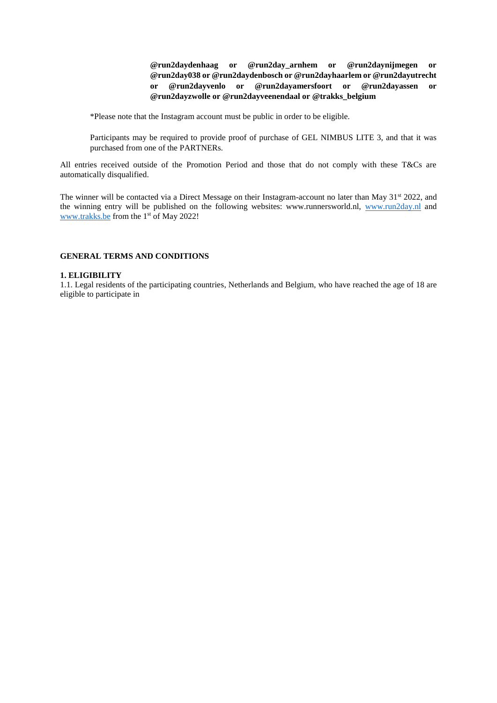**@run2daydenhaag or @run2day\_arnhem or @run2daynijmegen or @run2day038 or @run2daydenbosch or @run2dayhaarlem or @run2dayutrecht or @run2dayvenlo or @run2dayamersfoort or @run2dayassen or @run2dayzwolle or @run2dayveenendaal or @trakks\_belgium**

\*Please note that the Instagram account must be public in order to be eligible.

Participants may be required to provide proof of purchase of GEL NIMBUS LITE 3, and that it was purchased from one of the PARTNERs.

All entries received outside of the Promotion Period and those that do not comply with these T&Cs are automatically disqualified.

The winner will be contacted via a Direct Message on their Instagram-account no later than May 31<sup>st</sup> 2022, and the winning entry will be published on the following websites: www.runnersworld.nl, [www.run2day.nl](http://www.run2day.nl/) and [www.trakks.be](http://www.trakks.be/) from the 1<sup>st</sup> of May 2022!

# **GENERAL TERMS AND CONDITIONS**

## **1. ELIGIBILITY**

1.1. Legal residents of the participating countries, Netherlands and Belgium, who have reached the age of 18 are eligible to participate in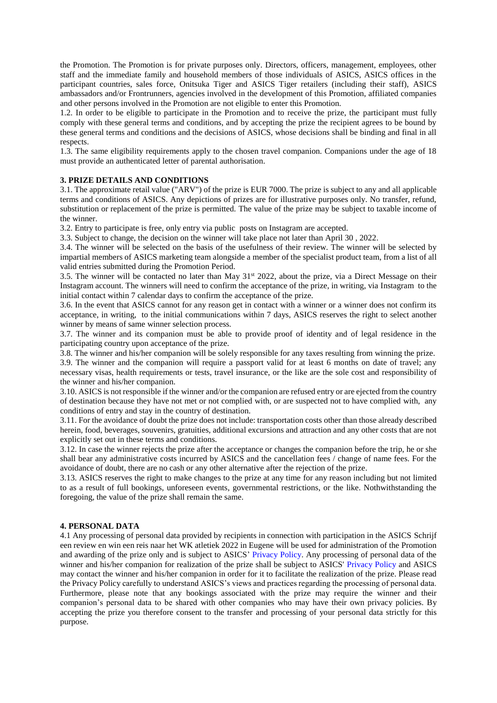the Promotion. The Promotion is for private purposes only. Directors, officers, management, employees, other staff and the immediate family and household members of those individuals of ASICS, ASICS offices in the participant countries, sales force, Onitsuka Tiger and ASICS Tiger retailers (including their staff), ASICS ambassadors and/or Frontrunners, agencies involved in the development of this Promotion, affiliated companies and other persons involved in the Promotion are not eligible to enter this Promotion.

1.2. In order to be eligible to participate in the Promotion and to receive the prize, the participant must fully comply with these general terms and conditions, and by accepting the prize the recipient agrees to be bound by these general terms and conditions and the decisions of ASICS, whose decisions shall be binding and final in all respects.

1.3. The same eligibility requirements apply to the chosen travel companion. Companions under the age of 18 must provide an authenticated letter of parental authorisation.

### **3. PRIZE DETAILS AND CONDITIONS**

3.1. The approximate retail value ("ARV") of the prize is EUR 7000. The prize is subject to any and all applicable terms and conditions of ASICS. Any depictions of prizes are for illustrative purposes only. No transfer, refund, substitution or replacement of the prize is permitted. The value of the prize may be subject to taxable income of the winner.

3.2. Entry to participate is free, only entry via public posts on Instagram are accepted.

3.3. Subject to change, the decision on the winner will take place not later than April 30 , 2022.

3.4. The winner will be selected on the basis of the usefulness of their review. The winner will be selected by impartial members of ASICS marketing team alongside a member of the specialist product team, from a list of all valid entries submitted during the Promotion Period.

3.5. The winner will be contacted no later than May 31st 2022, about the prize, via a Direct Message on their Instagram account. The winners will need to confirm the acceptance of the prize, in writing, via Instagram to the initial contact within 7 calendar days to confirm the acceptance of the prize.

3.6. In the event that ASICS cannot for any reason get in contact with a winner or a winner does not confirm its acceptance, in writing, to the initial communications within 7 days, ASICS reserves the right to select another winner by means of same winner selection process.

3.7. The winner and its companion must be able to provide proof of identity and of legal residence in the participating country upon acceptance of the prize.

3.8. The winner and his/her companion will be solely responsible for any taxes resulting from winning the prize.

3.9. The winner and the companion will require a passport valid for at least 6 months on date of travel; any necessary visas, health requirements or tests, travel insurance, or the like are the sole cost and responsibility of the winner and his/her companion.

3.10. ASICS is not responsible if the winner and/or the companion are refused entry or are ejected from the country of destination because they have not met or not complied with, or are suspected not to have complied with, any conditions of entry and stay in the country of destination.

3.11. For the avoidance of doubt the prize does not include: transportation costs other than those already described herein, food, beverages, souvenirs, gratuities, additional excursions and attraction and any other costs that are not explicitly set out in these terms and conditions.

3.12. In case the winner rejects the prize after the acceptance or changes the companion before the trip, he or she shall bear any administrative costs incurred by ASICS and the cancellation fees / change of name fees. For the avoidance of doubt, there are no cash or any other alternative after the rejection of the prize.

3.13. ASICS reserves the right to make changes to the prize at any time for any reason including but not limited to as a result of full bookings, unforeseen events, governmental restrictions, or the like. Nothwithstanding the foregoing, the value of the prize shall remain the same.

### **4. PERSONAL DATA**

4.1 Any processing of personal data provided by recipients in connection with participation in the ASICS Schrijf een review en win een reis naar het WK atletiek 2022 in Eugene will be used for administration of the Promotion and awarding of the prize only and is subject to ASICS' Privacy Policy. Any processing of personal data of the winner and his/her companion for realization of the prize shall be subject to ASICS' Privacy Policy and ASICS may contact the winner and his/her companion in order for it to facilitate the realization of the prize. Please read the Privacy Policy carefully to understand ASICS's views and practices regarding the processing of personal data. Furthermore, please note that any bookings associated with the prize may require the winner and their companion's personal data to be shared with other companies who may have their own privacy policies. By accepting the prize you therefore consent to the transfer and processing of your personal data strictly for this purpose.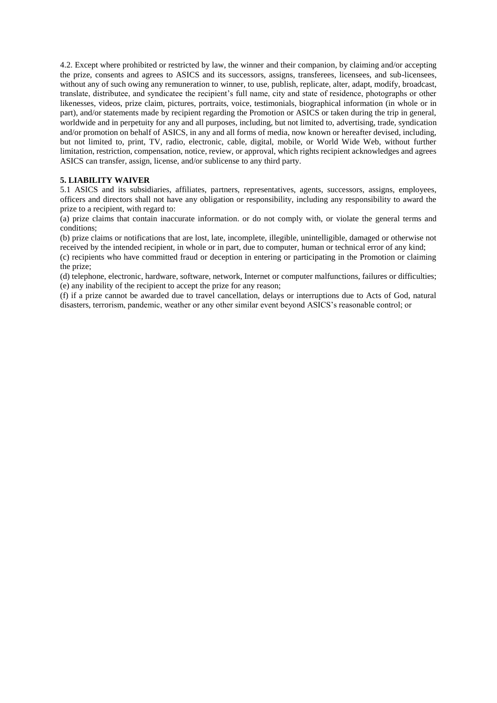4.2. Except where prohibited or restricted by law, the winner and their companion, by claiming and/or accepting the prize, consents and agrees to ASICS and its successors, assigns, transferees, licensees, and sub-licensees, without any of such owing any remuneration to winner, to use, publish, replicate, alter, adapt, modify, broadcast, translate, distributee, and syndicatee the recipient's full name, city and state of residence, photographs or other likenesses, videos, prize claim, pictures, portraits, voice, testimonials, biographical information (in whole or in part), and/or statements made by recipient regarding the Promotion or ASICS or taken during the trip in general, worldwide and in perpetuity for any and all purposes, including, but not limited to, advertising, trade, syndication and/or promotion on behalf of ASICS, in any and all forms of media, now known or hereafter devised, including, but not limited to, print, TV, radio, electronic, cable, digital, mobile, or World Wide Web, without further limitation, restriction, compensation, notice, review, or approval, which rights recipient acknowledges and agrees ASICS can transfer, assign, license, and/or sublicense to any third party.

# **5. LIABILITY WAIVER**

5.1 ASICS and its subsidiaries, affiliates, partners, representatives, agents, successors, assigns, employees, officers and directors shall not have any obligation or responsibility, including any responsibility to award the prize to a recipient, with regard to:

(a) prize claims that contain inaccurate information. or do not comply with, or violate the general terms and conditions;

(b) prize claims or notifications that are lost, late, incomplete, illegible, unintelligible, damaged or otherwise not received by the intended recipient, in whole or in part, due to computer, human or technical error of any kind;

(c) recipients who have committed fraud or deception in entering or participating in the Promotion or claiming the prize;

(d) telephone, electronic, hardware, software, network, Internet or computer malfunctions, failures or difficulties; (e) any inability of the recipient to accept the prize for any reason;

(f) if a prize cannot be awarded due to travel cancellation, delays or interruptions due to Acts of God, natural disasters, terrorism, pandemic, weather or any other similar event beyond ASICS's reasonable control; or